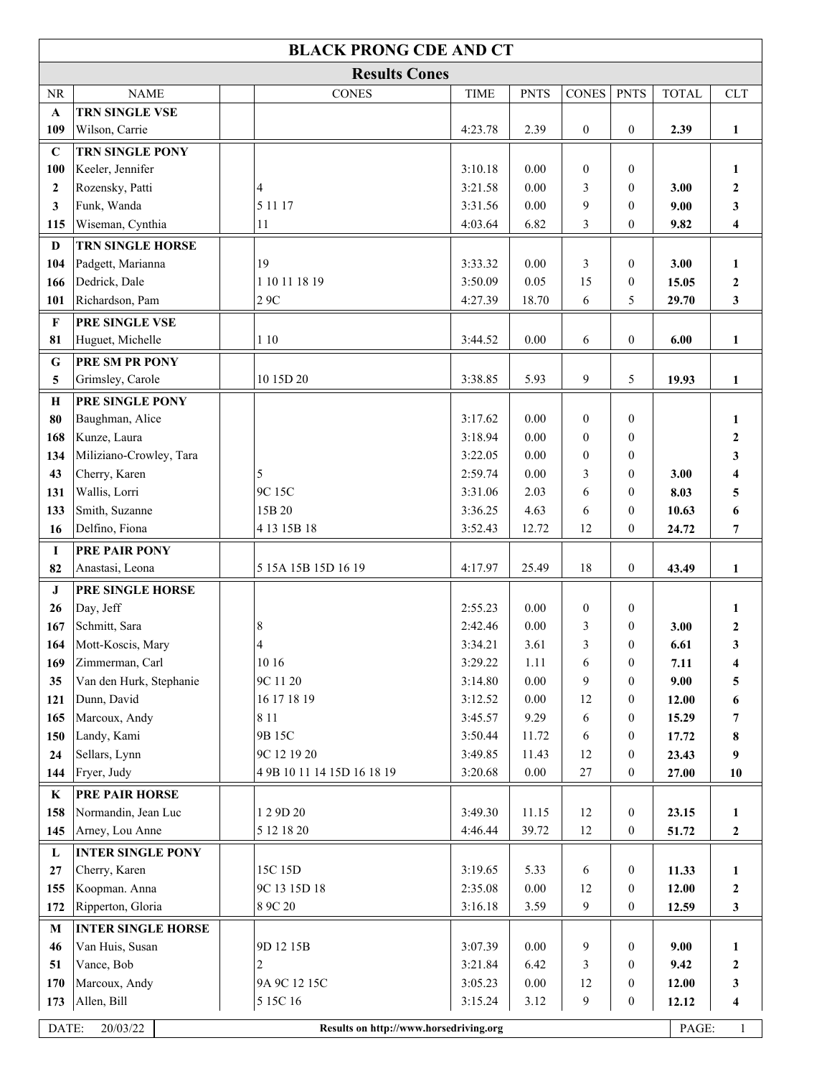| <b>BLACK PRONG CDE AND CT</b>                               |                           |                            |             |             |                  |                  |              |                         |  |  |  |
|-------------------------------------------------------------|---------------------------|----------------------------|-------------|-------------|------------------|------------------|--------------|-------------------------|--|--|--|
| <b>Results Cones</b>                                        |                           |                            |             |             |                  |                  |              |                         |  |  |  |
| <b>NR</b>                                                   | <b>NAME</b>               | <b>CONES</b>               | <b>TIME</b> | <b>PNTS</b> | <b>CONES</b>     | <b>PNTS</b>      | <b>TOTAL</b> | <b>CLT</b>              |  |  |  |
| $\mathbf{A}$                                                | TRN SINGLE VSE            |                            |             |             |                  |                  |              |                         |  |  |  |
| 109                                                         | Wilson, Carrie            |                            | 4:23.78     | 2.39        | $\boldsymbol{0}$ | $\overline{0}$   | 2.39         | $\mathbf{1}$            |  |  |  |
| $\mathbf C$                                                 | <b>TRN SINGLE PONY</b>    |                            |             |             |                  |                  |              |                         |  |  |  |
| 100                                                         | Keeler, Jennifer          |                            | 3:10.18     | 0.00        | $\mathbf{0}$     | $\overline{0}$   |              | 1                       |  |  |  |
| $\overline{2}$                                              | Rozensky, Patti           | 4                          | 3:21.58     | 0.00        | 3                | $\theta$         | 3.00         | $\boldsymbol{2}$        |  |  |  |
| 3                                                           | Funk, Wanda               | 5 11 17                    | 3:31.56     | 0.00        | 9                | $\theta$         | 9.00         | $\mathbf{3}$            |  |  |  |
| 115                                                         | Wiseman, Cynthia          | 11                         | 4:03.64     | 6.82        | 3                | $\theta$         | 9.82         | $\overline{\mathbf{4}}$ |  |  |  |
| D                                                           | <b>TRN SINGLE HORSE</b>   |                            |             |             |                  |                  |              |                         |  |  |  |
| 104                                                         | Padgett, Marianna         | 19                         | 3:33.32     | 0.00        | 3                | $\theta$         | 3.00         | $\mathbf{1}$            |  |  |  |
| 166                                                         | Dedrick, Dale             | 1 10 11 18 19              | 3:50.09     | 0.05        | 15               | $\theta$         | 15.05        | $\mathbf 2$             |  |  |  |
| 101                                                         | Richardson, Pam           | 2 9C                       | 4:27.39     | 18.70       | 6                | 5                | 29.70        | $\mathbf{3}$            |  |  |  |
| $\mathbf F$                                                 | PRE SINGLE VSE            |                            |             |             |                  |                  |              |                         |  |  |  |
| 81                                                          | Huguet, Michelle          | 1 10                       | 3:44.52     | 0.00        | 6                | $\overline{0}$   | 6.00         | 1                       |  |  |  |
| G                                                           | PRE SM PR PONY            |                            |             |             |                  |                  |              |                         |  |  |  |
| 5                                                           | Grimsley, Carole          | 10 15D 20                  | 3:38.85     | 5.93        | $\mathfrak{g}$   | 5                | 19.93        | $\mathbf{1}$            |  |  |  |
| $\mathbf H$                                                 | PRE SINGLE PONY           |                            |             |             |                  |                  |              |                         |  |  |  |
| 80                                                          | Baughman, Alice           |                            | 3:17.62     | 0.00        | $\mathbf{0}$     | $\theta$         |              | 1                       |  |  |  |
| 168                                                         | Kunze, Laura              |                            | 3:18.94     | 0.00        | $\mathbf{0}$     | $\theta$         |              | $\boldsymbol{2}$        |  |  |  |
| 134                                                         | Miliziano-Crowley, Tara   |                            | 3:22.05     | 0.00        | $\mathbf{0}$     | $\theta$         |              | $\mathbf{3}$            |  |  |  |
| 43                                                          | Cherry, Karen             | 5                          | 2:59.74     | 0.00        | 3                | $\theta$         | 3.00         | 4                       |  |  |  |
| 131                                                         | Wallis, Lorri             | 9C 15C                     | 3:31.06     | 2.03        | 6                | $\theta$         | 8.03         | 5                       |  |  |  |
| 133                                                         | Smith, Suzanne            | 15B 20                     | 3:36.25     | 4.63        | 6                | $\theta$         | 10.63        | 6                       |  |  |  |
| 16                                                          | Delfino, Fiona            | 4 13 15B 18                | 3:52.43     | 12.72       | 12               | $\theta$         | 24.72        | 7                       |  |  |  |
| 1                                                           | PRE PAIR PONY             |                            |             |             |                  |                  |              |                         |  |  |  |
| 82                                                          | Anastasi, Leona           | 5 15A 15B 15D 16 19        | 4:17.97     | 25.49       | 18               | $\overline{0}$   | 43.49        | 1                       |  |  |  |
| J                                                           | PRE SINGLE HORSE          |                            |             |             |                  |                  |              |                         |  |  |  |
| 26                                                          | Day, Jeff                 |                            | 2:55.23     | 0.00        | $\boldsymbol{0}$ | $\overline{0}$   |              | 1                       |  |  |  |
| 167                                                         | Schmitt, Sara             | 8                          | 2:42.46     | 0.00        | 3                | $\mathbf{0}$     | 3.00         | $\boldsymbol{2}$        |  |  |  |
| 164                                                         | Mott-Koscis, Mary         | $\overline{A}$             | 3:34.21     | 3.61        | 3                | $\boldsymbol{0}$ | 6.61         | 3                       |  |  |  |
| 169                                                         | Zimmerman, Carl           | 10 16                      | 3:29.22     | 1.11        | 6                | $\overline{0}$   | 7.11         | 4                       |  |  |  |
| 35                                                          | Van den Hurk, Stephanie   | 9C 11 20                   | 3:14.80     | 0.00        | 9                | $\theta$         | 9.00         | 5                       |  |  |  |
| 121                                                         | Dunn, David               | 16 17 18 19                | 3:12.52     | $0.00\,$    | 12               | $\theta$         | 12.00        | 6                       |  |  |  |
| 165                                                         | Marcoux, Andy             | 8 1 1                      | 3:45.57     | 9.29        | 6                | $\theta$         | 15.29        | 7                       |  |  |  |
| 150                                                         | Landy, Kami               | 9B 15C                     | 3:50.44     | 11.72       | 6                | $\theta$         | 17.72        | 8                       |  |  |  |
| 24                                                          | Sellars, Lynn             | 9C 12 19 20                | 3:49.85     | 11.43       | 12               | $\theta$         | 23.43        | $\boldsymbol{9}$        |  |  |  |
| 144                                                         | Fryer, Judy               | 4 9B 10 11 14 15D 16 18 19 | 3:20.68     | $0.00\,$    | $27\,$           | $\overline{0}$   | 27.00        | 10                      |  |  |  |
| K                                                           | PRE PAIR HORSE            |                            |             |             |                  |                  |              |                         |  |  |  |
| 158                                                         | Normandin, Jean Luc       | 1 2 9D 20                  | 3:49.30     | 11.15       | 12               | $\mathbf{0}$     | 23.15        | 1                       |  |  |  |
| 145                                                         | Arney, Lou Anne           | 5 12 18 20                 | 4:46.44     | 39.72       | 12               | $\overline{0}$   | 51.72        | $\boldsymbol{2}$        |  |  |  |
| L                                                           | <b>INTER SINGLE PONY</b>  |                            |             |             |                  |                  |              |                         |  |  |  |
| $\bf 27$                                                    | Cherry, Karen             | 15C 15D                    | 3:19.65     | 5.33        | 6                | $\mathbf{0}$     | 11.33        | 1                       |  |  |  |
| 155                                                         | Koopman. Anna             | 9C 13 15D 18               | 2:35.08     | $0.00\,$    | 12               | $\mathbf{0}$     | 12.00        | $\boldsymbol{2}$        |  |  |  |
| 172                                                         | Ripperton, Gloria         | 8 9C 20                    | 3:16.18     | 3.59        | 9                | $\overline{0}$   | 12.59        | $\mathbf{3}$            |  |  |  |
| М                                                           | <b>INTER SINGLE HORSE</b> |                            |             |             |                  |                  |              |                         |  |  |  |
| 46                                                          | Van Huis, Susan           | 9D 12 15B                  | 3:07.39     | 0.00        | 9                | $\mathbf{0}$     | 9.00         | 1                       |  |  |  |
| 51                                                          | Vance, Bob                | $\overline{c}$             | 3:21.84     | 6.42        | 3                | $\overline{0}$   | 9.42         | $\boldsymbol{2}$        |  |  |  |
| 170                                                         | Marcoux, Andy             | 9A 9C 12 15C               | 3:05.23     | $0.00\,$    | 12               | $\mathbf{0}$     | 12.00        | 3                       |  |  |  |
| 173                                                         | Allen, Bill               | 5 15C 16                   | 3:15.24     | 3.12        | 9                | $\boldsymbol{0}$ | 12.12        | $\overline{\mathbf{4}}$ |  |  |  |
| DATE:<br>20/03/22<br>Results on http://www.horsedriving.org |                           |                            |             |             |                  |                  |              | PAGE:<br>$\mathbf{1}$   |  |  |  |